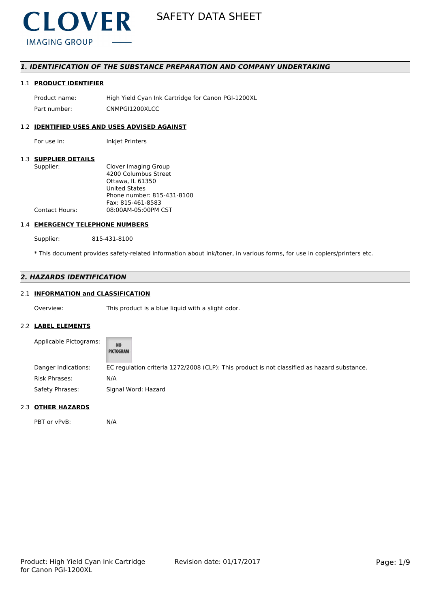

# *1. IDENTIFICATION OF THE SUBSTANCE PREPARATION AND COMPANY UNDERTAKING*

# 1.1 **PRODUCT IDENTIFIER**

Product name: High Yield Cyan Ink Cartridge for Canon PGI-1200XL Part number: CNMPGI1200XLCC

# 1.2 **IDENTIFIED USES AND USES ADVISED AGAINST**

For use in: Inkjet Printers

### 1.3 **SUPPLIER DETAILS**

| Supplier:             | Clover Imaging Group       |
|-----------------------|----------------------------|
|                       | 4200 Columbus Street       |
|                       | Ottawa, IL 61350           |
|                       | United States              |
|                       | Phone number: 815-431-8100 |
|                       | Fax: 815-461-8583          |
| <b>Contact Hours:</b> | 08:00AM-05:00PM CST        |
|                       |                            |

#### 1.4 **EMERGENCY TELEPHONE NUMBERS**

Supplier: 815-431-8100

\* This document provides safety-related information about ink/toner, in various forms, for use in copiers/printers etc.

# *2. HAZARDS IDENTIFICATION*

# 2.1 **INFORMATION and CLASSIFICATION**

Overview: This product is a blue liquid with a slight odor.

#### 2.2 **LABEL ELEMENTS**

| Applicable Pictograms: | <b>NO</b><br>PICTOGRAM                                                                      |
|------------------------|---------------------------------------------------------------------------------------------|
| Danger Indications:    | EC regulation criteria 1272/2008 (CLP): This product is not classified as hazard substance. |
| Risk Phrases:          | N/A                                                                                         |
| Safety Phrases:        | Signal Word: Hazard                                                                         |

## 2.3 **OTHER HAZARDS**

PBT or vPvB: N/A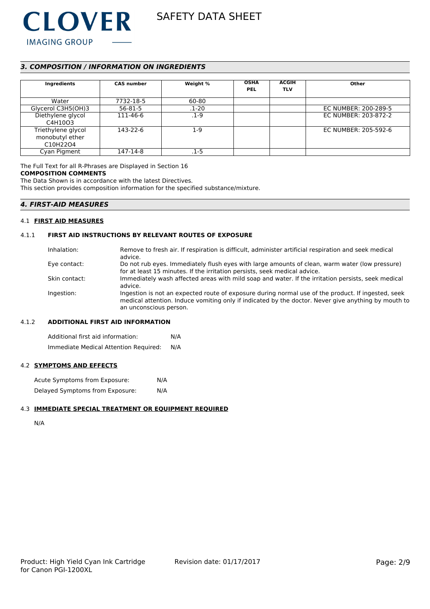

# *3. COMPOSITION / INFORMATION ON INGREDIENTS*

| Ingredients                                                                | <b>CAS number</b> | Weight %  | <b>OSHA</b><br><b>PEL</b> | <b>ACGIH</b><br><b>TLV</b> | Other                |
|----------------------------------------------------------------------------|-------------------|-----------|---------------------------|----------------------------|----------------------|
| Water                                                                      | 7732-18-5         | 60-80     |                           |                            |                      |
| Glycerol C3H5(OH)3                                                         | $56 - 81 - 5$     | $.1 - 20$ |                           |                            | EC NUMBER: 200-289-5 |
| Diethylene glycol<br>C4H10O3                                               | 111-46-6          | $.1 - 9$  |                           |                            | EC NUMBER: 203-872-2 |
| Triethylene glycol<br>monobutyl ether<br>C <sub>10</sub> H <sub>2204</sub> | 143-22-6          | $1-9$     |                           |                            | EC NUMBER: 205-592-6 |
| Cyan Pigment                                                               | 147-14-8          | .1-5      |                           |                            |                      |

The Full Text for all R-Phrases are Displayed in Section 16

#### **COMPOSITION COMMENTS**

The Data Shown is in accordance with the latest Directives.

This section provides composition information for the specified substance/mixture.

# *4. FIRST-AID MEASURES*

#### 4.1 **FIRST AID MEASURES**

### 4.1.1 **FIRST AID INSTRUCTIONS BY RELEVANT ROUTES OF EXPOSURE**

| Remove to fresh air. If respiration is difficult, administer artificial respiration and seek medical |
|------------------------------------------------------------------------------------------------------|
| advice.                                                                                              |
| Do not rub eyes. Immediately flush eyes with large amounts of clean, warm water (low pressure)       |
| for at least 15 minutes. If the irritation persists, seek medical advice.                            |
| Immediately wash affected areas with mild soap and water. If the irritation persists, seek medical   |
| advice.                                                                                              |
| Ingestion is not an expected route of exposure during normal use of the product. If ingested, seek   |
| medical attention. Induce vomiting only if indicated by the doctor. Never give anything by mouth to  |
| an unconscious person.                                                                               |
|                                                                                                      |

#### 4.1.2 **ADDITIONAL FIRST AID INFORMATION**

Additional first aid information: N/A Immediate Medical Attention Required: N/A

### 4.2 **SYMPTOMS AND EFFECTS**

| Acute Symptoms from Exposure:   | N/A |
|---------------------------------|-----|
| Delayed Symptoms from Exposure: | N/A |

### 4.3 **IMMEDIATE SPECIAL TREATMENT OR EQUIPMENT REQUIRED**

N/A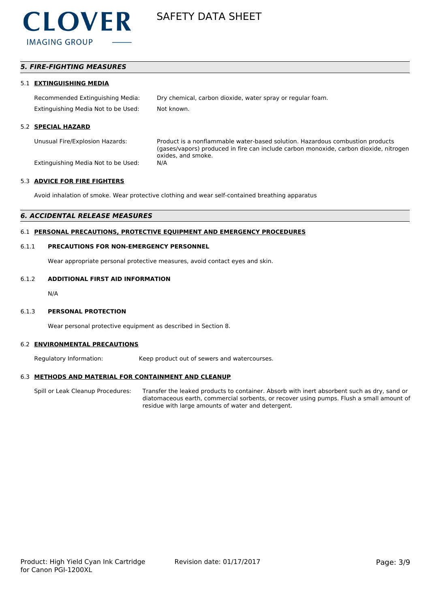

# *5. FIRE-FIGHTING MEASURES*

#### 5.1 **EXTINGUISHING MEDIA**

Recommended Extinguishing Media: Dry chemical, carbon dioxide, water spray or regular foam. Extinguishing Media Not to be Used: Not known.

#### 5.2 **SPECIAL HAZARD**

Unusual Fire/Explosion Hazards: Product is a nonflammable water-based solution. Hazardous combustion products (gases/vapors) produced in fire can include carbon monoxide, carbon dioxide, nitrogen oxides, and smoke.

Extinguishing Media Not to be Used: N/A

#### 5.3 **ADVICE FOR FIRE FIGHTERS**

Avoid inhalation of smoke. Wear protective clothing and wear self-contained breathing apparatus

#### *6. ACCIDENTAL RELEASE MEASURES*

### 6.1 **PERSONAL PRECAUTIONS, PROTECTIVE EQUIPMENT AND EMERGENCY PROCEDURES**

#### 6.1.1 **PRECAUTIONS FOR NON-EMERGENCY PERSONNEL**

Wear appropriate personal protective measures, avoid contact eyes and skin.

# 6.1.2 **ADDITIONAL FIRST AID INFORMATION**

N/A

#### 6.1.3 **PERSONAL PROTECTION**

Wear personal protective equipment as described in Section 8.

#### 6.2 **ENVIRONMENTAL PRECAUTIONS**

Regulatory Information: Keep product out of sewers and watercourses.

#### 6.3 **METHODS AND MATERIAL FOR CONTAINMENT AND CLEANUP**

Spill or Leak Cleanup Procedures: Transfer the leaked products to container. Absorb with inert absorbent such as dry, sand or diatomaceous earth, commercial sorbents, or recover using pumps. Flush a small amount of residue with large amounts of water and detergent.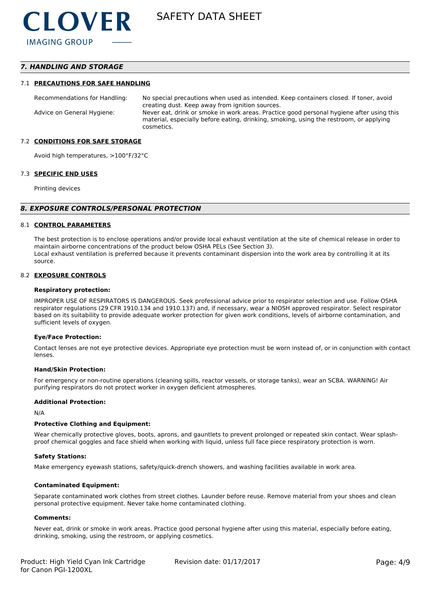# *7. HANDLING AND STORAGE*

#### 7.1 **PRECAUTIONS FOR SAFE HANDLING**

Recommendations for Handling: No special precautions when used as intended. Keep containers closed. If toner, avoid creating dust. Keep away from ignition sources. Advice on General Hygiene: Never eat, drink or smoke in work areas. Practice good personal hygiene after using this material, especially before eating, drinking, smoking, using the restroom, or applying cosmetics.

#### 7.2 **CONDITIONS FOR SAFE STORAGE**

Avoid high temperatures, >100°F/32°C

#### 7.3 **SPECIFIC END USES**

Printing devices

#### *8. EXPOSURE CONTROLS/PERSONAL PROTECTION*

#### 8.1 **CONTROL PARAMETERS**

The best protection is to enclose operations and/or provide local exhaust ventilation at the site of chemical release in order to maintain airborne concentrations of the product below OSHA PELs (See Section 3). Local exhaust ventilation is preferred because it prevents contaminant dispersion into the work area by controlling it at its source.

#### 8.2 **EXPOSURE CONTROLS**

#### **Respiratory protection:**

IMPROPER USE OF RESPIRATORS IS DANGEROUS. Seek professional advice prior to respirator selection and use. Follow OSHA respirator regulations (29 CFR 1910.134 and 1910.137) and, if necessary, wear a NIOSH approved respirator. Select respirator based on its suitability to provide adequate worker protection for given work conditions, levels of airborne contamination, and sufficient levels of oxygen.

#### **Eye/Face Protection:**

Contact lenses are not eye protective devices. Appropriate eye protection must be worn instead of, or in conjunction with contact lenses.

#### **Hand/Skin Protection:**

For emergency or non-routine operations (cleaning spills, reactor vessels, or storage tanks), wear an SCBA. WARNING! Air purifying respirators do not protect worker in oxygen deficient atmospheres.

#### **Additional Protection:**

N/A

#### **Protective Clothing and Equipment:**

Wear chemically protective gloves, boots, aprons, and gauntlets to prevent prolonged or repeated skin contact. Wear splashproof chemical goggles and face shield when working with liquid, unless full face piece respiratory protection is worn.

#### **Safety Stations:**

Make emergency eyewash stations, safety/quick-drench showers, and washing facilities available in work area.

#### **Contaminated Equipment:**

Separate contaminated work clothes from street clothes. Launder before reuse. Remove material from your shoes and clean personal protective equipment. Never take home contaminated clothing.

#### **Comments:**

Never eat, drink or smoke in work areas. Practice good personal hygiene after using this material, especially before eating, drinking, smoking, using the restroom, or applying cosmetics.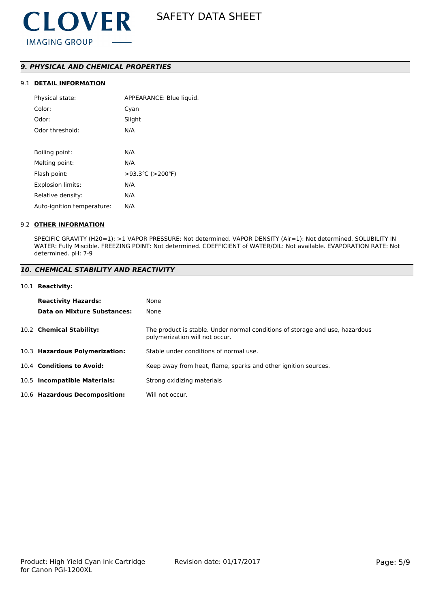# *9. PHYSICAL AND CHEMICAL PROPERTIES*

# 9.1 **DETAIL INFORMATION**

| APPEARANCE: Blue liquid. |
|--------------------------|
| Cyan                     |
| Slight                   |
| N/A                      |
|                          |
| N/A                      |
| N/A                      |
| >93.3℃ (>200°F)          |
| N/A                      |
| N/A                      |
| N/A                      |
|                          |

#### 9.2 **OTHER INFORMATION**

SPECIFIC GRAVITY (H20=1): >1 VAPOR PRESSURE: Not determined. VAPOR DENSITY (Air=1): Not determined. SOLUBILITY IN WATER: Fully Miscible. FREEZING POINT: Not determined. COEFFICIENT of WATER/OIL: Not available. EVAPORATION RATE: Not determined. pH: 7-9

# *10. CHEMICAL STABILITY AND REACTIVITY*

#### 10.1 **Reactivity:**

| <b>Reactivity Hazards:</b>     | None                                                                                                           |
|--------------------------------|----------------------------------------------------------------------------------------------------------------|
| Data on Mixture Substances:    | None                                                                                                           |
| 10.2 Chemical Stability:       | The product is stable. Under normal conditions of storage and use, hazardous<br>polymerization will not occur. |
| 10.3 Hazardous Polymerization: | Stable under conditions of normal use.                                                                         |
| 10.4 Conditions to Avoid:      | Keep away from heat, flame, sparks and other ignition sources.                                                 |
| 10.5 Incompatible Materials:   | Strong oxidizing materials                                                                                     |
| 10.6 Hazardous Decomposition:  | Will not occur.                                                                                                |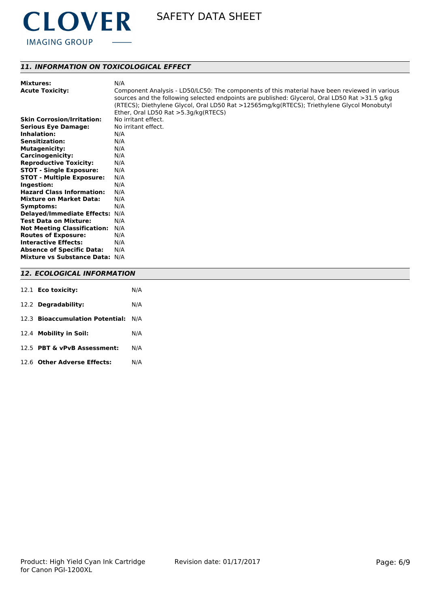

# *11. INFORMATION ON TOXICOLOGICAL EFFECT*

| <b>Mixtures:</b>                          | N/A                                                                                                                                                                                          |
|-------------------------------------------|----------------------------------------------------------------------------------------------------------------------------------------------------------------------------------------------|
| <b>Acute Toxicity:</b>                    | Component Analysis - LD50/LC50: The components of this material have been reviewed in various                                                                                                |
|                                           | sources and the following selected endpoints are published: Glycerol, Oral LD50 Rat >31.5 g/kg<br>(RTECS); Diethylene Glycol, Oral LD50 Rat >12565mg/kg(RTECS); Triethylene Glycol Monobutyl |
|                                           | Ether, Oral LD50 Rat >5.3g/kg(RTECS)                                                                                                                                                         |
| <b>Skin Corrosion/Irritation:</b>         | No irritant effect.                                                                                                                                                                          |
|                                           | No irritant effect.                                                                                                                                                                          |
| <b>Serious Eye Damage:</b><br>Inhalation: |                                                                                                                                                                                              |
|                                           | N/A                                                                                                                                                                                          |
| <b>Sensitization:</b>                     | N/A                                                                                                                                                                                          |
| <b>Mutagenicity:</b>                      | N/A                                                                                                                                                                                          |
| Carcinogenicity:                          | N/A                                                                                                                                                                                          |
| <b>Reproductive Toxicity:</b>             | N/A                                                                                                                                                                                          |
| <b>STOT - Single Exposure:</b>            | N/A                                                                                                                                                                                          |
| <b>STOT - Multiple Exposure:</b>          | N/A                                                                                                                                                                                          |
| Ingestion:                                | N/A                                                                                                                                                                                          |
| <b>Hazard Class Information:</b>          | N/A                                                                                                                                                                                          |
| <b>Mixture on Market Data:</b>            | N/A                                                                                                                                                                                          |
| Symptoms:                                 | N/A                                                                                                                                                                                          |
| Delayed/Immediate Effects: N/A            |                                                                                                                                                                                              |
| <b>Test Data on Mixture:</b>              | N/A                                                                                                                                                                                          |
| <b>Not Meeting Classification:</b>        | N/A                                                                                                                                                                                          |
| <b>Routes of Exposure:</b>                | N/A                                                                                                                                                                                          |
| <b>Interactive Effects:</b>               | N/A                                                                                                                                                                                          |
| <b>Absence of Specific Data:</b>          | N/A                                                                                                                                                                                          |
| Mixture vs Substance Data: N/A            |                                                                                                                                                                                              |
|                                           |                                                                                                                                                                                              |
| <b>12. ECOLOGICAL INFORMATION</b>         |                                                                                                                                                                                              |

| 12.1 Eco toxicity:                  | N/A |
|-------------------------------------|-----|
| 12.2 Degradability:                 | N/A |
| 12.3 Bioaccumulation Potential: N/A |     |
| 12.4 Mobility in Soil:              | N/A |
| 12.5 PBT & vPvB Assessment:         | N/A |
| 12.6 Other Adverse Effects:         | N/A |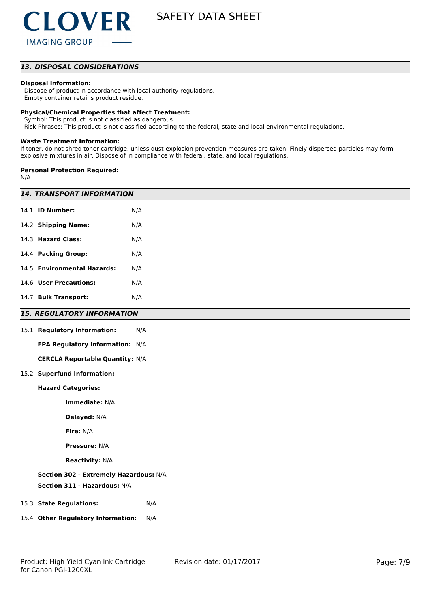# *13. DISPOSAL CONSIDERATIONS*

#### **Disposal Information:**

 Dispose of product in accordance with local authority regulations. Empty container retains product residue.

#### **Physical/Chemical Properties that affect Treatment:**

Symbol: This product is not classified as dangerous

Risk Phrases: This product is not classified according to the federal, state and local environmental regulations.

#### **Waste Treatment Information:**

If toner, do not shred toner cartridge, unless dust-explosion prevention measures are taken. Finely dispersed particles may form explosive mixtures in air. Dispose of in compliance with federal, state, and local regulations.

#### **Personal Protection Required:**

N/A

| <b>14. TRANSPORT INFORMATION</b> |                                        |     |  |
|----------------------------------|----------------------------------------|-----|--|
|                                  | 14.1 <b>ID Number:</b>                 | N/A |  |
|                                  | 14.2 Shipping Name:                    | N/A |  |
|                                  | 14.3 Hazard Class:                     | N/A |  |
|                                  | 14.4 Packing Group:                    | N/A |  |
|                                  | 14.5 Environmental Hazards:            | N/A |  |
|                                  | 14.6 User Precautions:                 | N/A |  |
|                                  | 14.7 Bulk Transport:                   | N/A |  |
|                                  | <b>15. REGULATORY INFORMATION</b>      |     |  |
|                                  | 15.1 Regulatory Information:           | N/A |  |
|                                  | EPA Regulatory Information: N/A        |     |  |
|                                  | <b>CERCLA Reportable Quantity: N/A</b> |     |  |
|                                  | 15.2 Superfund Information:            |     |  |
|                                  | <b>Hazard Categories:</b>              |     |  |
|                                  | Immediate: N/A                         |     |  |
|                                  | Delayed: N/A                           |     |  |
|                                  | Fire: N/A                              |     |  |
|                                  | <b>Pressure: N/A</b>                   |     |  |
|                                  | <b>Reactivity: N/A</b>                 |     |  |
|                                  | Section 302 - Extremely Hazardous: N/A |     |  |
|                                  | Section 311 - Hazardous: N/A           |     |  |
|                                  | 15.3 State Regulations:                | N/A |  |
|                                  | 15.4 Other Regulatory Information:     | N/A |  |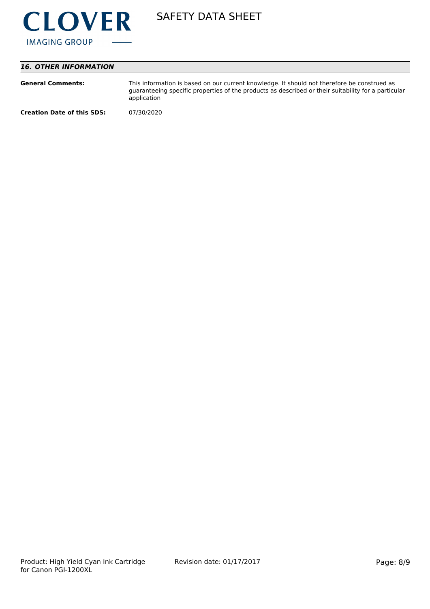

# *16. OTHER INFORMATION*

| <b>General Comments:</b>          | This information is based on our current knowledge. It should not therefore be construed as<br>guaranteeing specific properties of the products as described or their suitability for a particular<br>application |
|-----------------------------------|-------------------------------------------------------------------------------------------------------------------------------------------------------------------------------------------------------------------|
| <b>Creation Date of this SDS:</b> | 07/30/2020                                                                                                                                                                                                        |